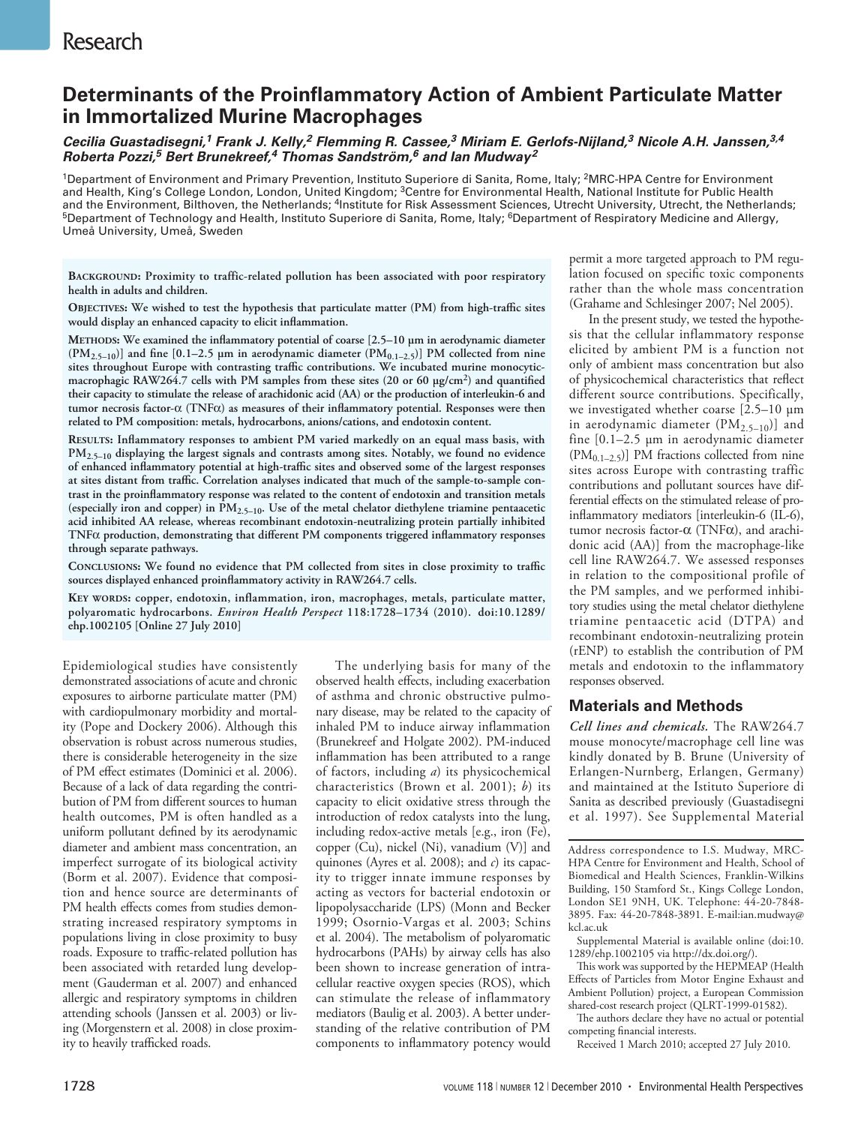# **Determinants of the Proinflammatory Action of Ambient Particulate Matter in Immortalized Murine Macrophages**

*Cecilia Guastadisegni,1 Frank J. Kelly,2 Flemming R. Cassee,3 Miriam E. Gerlofs-Nijland,3 Nicole A.H. Janssen,3,4 Roberta Pozzi,5 Bert Brunekreef,4 Thomas Sandström,6 and Ian Mudway2*

<sup>1</sup>Department of Environment and Primary Prevention, Instituto Superiore di Sanita, Rome, Italy; <sup>2</sup>MRC-HPA Centre for Environment and Health, King's College London, London, United Kingdom; 3Centre for Environmental Health, National Institute for Public Health and the Environment, Bilthoven, the Netherlands; <sup>4</sup>Institute for Risk Assessment Sciences, Utrecht University, Utrecht, the Netherlands;  $^5$ Department of Technology and Health, Instituto Superiore di Sanita, Rome, Italy;  $^6$ Department of Respiratory Medicine and Allergy, Umeå University, Umeå, Sweden

**Background: Proximity to traffic-related pollution has been associated with poor respiratory health in adults and children.**

**Objectives: We wished to test the hypothesis that particulate matter (PM) from high-traffic sites would display an enhanced capacity to elicit inflammation.**

**Methods: We examined the inflammatory potential of coarse [2.5–10 µm in aerodynamic diameter**   $(PM_{2.5-10})$ ] and fine [0.1–2.5  $\mu$ m in aerodynamic diameter  $(PM_{0.1-2.5})$ ] PM collected from nine **sites throughout Europe with contrasting traffic contributions. We incubated murine monocyticmacrophagic RAW264.7 cells with PM samples from these sites (20 or 60 µg/cm2) and quantified their capacity to stimulate the release of arachidonic acid (AA) or the production of interleukin-6 and tumor necrosis factor-**α **(TNF**α**) as measures of their inflammatory potential. Responses were then related to PM composition: metals, hydrocarbons, anions/cations, and endotoxin content.**

**Results: Inflammatory responses to ambient PM varied markedly on an equal mass basis, with PM2.5–10 displaying the largest signals and contrasts among sites. Notably, we found no evidence of enhanced inflammatory potential at high-traffic sites and observed some of the largest responses at sites distant from traffic. Correlation analyses indicated that much of the sample-to-sample contrast in the proinflammatory response was related to the content of endotoxin and transition metals (especially iron and copper) in PM2.5–10. Use of the metal chelator diethylene triamine pentaacetic acid inhibited AA release, whereas recombinant endotoxin-neutralizing protein partially inhibited TNF**α **production, demonstrating that different PM components triggered inflammatory responses through separate pathways.**

**Conclusions: We found no evidence that PM collected from sites in close proximity to traffic sources displayed enhanced proinflammatory activity in RAW264.7 cells.**

**Key words: copper, endotoxin, inflammation, iron, macrophages, metals, particulate matter, polyaromatic hydrocarbons.** *Environ Health Perspect* **118:1728–1734 (2010). doi:10.1289/ ehp.1002105 [Online 27 July 2010]**

Epidemiological studies have consistently demonstrated associations of acute and chronic exposures to airborne particulate matter (PM) with cardiopulmonary morbidity and mortality (Pope and Dockery 2006). Although this observation is robust across numerous studies, there is considerable heterogeneity in the size of PM effect estimates (Dominici et al. 2006). Because of a lack of data regarding the contribution of PM from different sources to human health outcomes, PM is often handled as a uniform pollutant defined by its aerodynamic diameter and ambient mass concentration, an imperfect surrogate of its biological activity (Borm et al. 2007). Evidence that composition and hence source are determinants of PM health effects comes from studies demonstrating increased respiratory symptoms in populations living in close proximity to busy roads. Exposure to traffic-related pollution has been associated with retarded lung development (Gauderman et al. 2007) and enhanced allergic and respiratory symptoms in children attending schools (Janssen et al. 2003) or living (Morgenstern et al. 2008) in close proximity to heavily trafficked roads.

The underlying basis for many of the observed health effects, including exacerbation of asthma and chronic obstructive pulmonary disease, may be related to the capacity of inhaled PM to induce airway inflammation (Brunekreef and Holgate 2002). PM-induced inflammation has been attributed to a range of factors, including *a*) its physicochemical characteristics (Brown et al. 2001); *b*) its capacity to elicit oxidative stress through the introduction of redox catalysts into the lung, including redox-active metals [e.g., iron (Fe), copper (Cu), nickel (Ni), vanadium (V)] and quinones (Ayres et al. 2008); and *c*) its capacity to trigger innate immune responses by acting as vectors for bacterial endotoxin or lipopolysaccharide (LPS) (Monn and Becker 1999; Osornio-Vargas et al. 2003; Schins et al. 2004). The metabolism of polyaromatic hydrocarbons (PAHs) by airway cells has also been shown to increase generation of intracellular reactive oxygen species (ROS), which can stimulate the release of inflammatory mediators (Baulig et al. 2003). A better understanding of the relative contribution of PM components to inflammatory potency would permit a more targeted approach to PM regulation focused on specific toxic components rather than the whole mass concentration (Grahame and Schlesinger 2007; Nel 2005).

In the present study, we tested the hypothesis that the cellular inflammatory response elicited by ambient PM is a function not only of ambient mass concentration but also of physicochemical characteristics that reflect different source contributions. Specifically, we investigated whether coarse [2.5–10 µm in aerodynamic diameter  $(PM_{2.5-10})$ ] and fine [0.1–2.5 µm in aerodynamic diameter  $(PM_{0.1-2.5})$ ] PM fractions collected from nine sites across Europe with contrasting traffic contributions and pollutant sources have differential effects on the stimulated release of proinflammatory mediators [interleukin-6 (IL-6), tumor necrosis factor-α (TNFα), and arachidonic acid (AA)] from the macrophage-like cell line RAW264.7. We assessed responses in relation to the compositional profile of the PM samples, and we performed inhibitory studies using the metal chelator diethylene triamine pentaacetic acid (DTPA) and recombinant endotoxin-neutralizing protein (rENP) to establish the contribution of PM metals and endotoxin to the inflammatory responses observed.

## **Materials and Methods**

*Cell lines and chemicals.* The RAW264.7 mouse monocyte/macrophage cell line was kindly donated by B. Brune (University of Erlangen-Nurnberg, Erlangen, Germany) and maintained at the Istituto Superiore di Sanita as described previously (Guastadisegni et al. 1997). See Supplemental Material

Address correspondence to I.S. Mudway, MRC-HPA Centre for Environment and Health, School of Biomedical and Health Sciences, Franklin-Wilkins Building, 150 Stamford St., Kings College London, London SE1 9NH, UK. Telephone: 44-20-7848- 3895. Fax: 44-20-7848-3891. E-mail:ian.mudway@ kcl.ac.uk

Supplemental Material is available online (doi:10. 1289/ehp.1002105 via http://dx.doi.org/).

This work was supported by the HEPMEAP (Health Effects of Particles from Motor Engine Exhaust and Ambient Pollution) project, a European Commission shared-cost research project (QLRT-1999-01582).

The authors declare they have no actual or potential competing financial interests.

Received 1 March 2010; accepted 27 July 2010.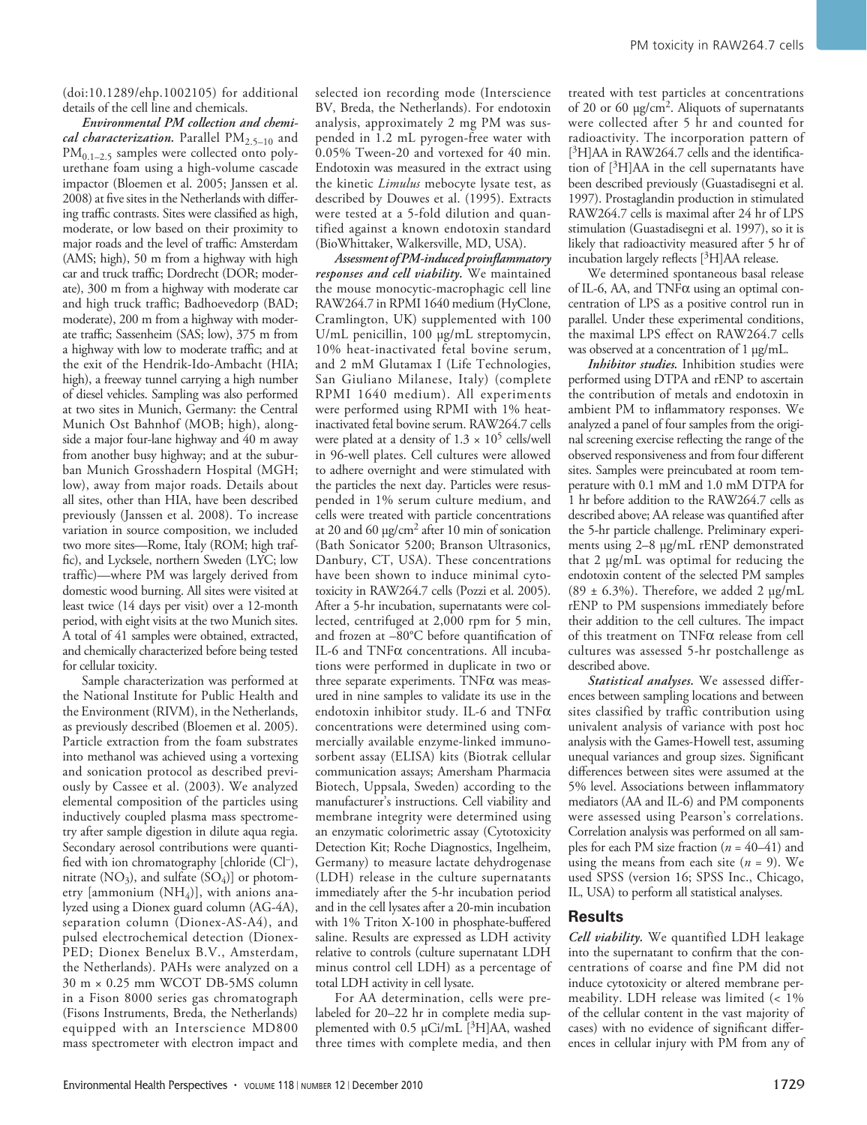(doi:10.1289/ehp.1002105) for additional details of the cell line and chemicals.

*Environmental PM collection and chemical characterization.* Parallel PM<sub>2.5-10</sub> and PM<sub>0.1–2.5</sub> samples were collected onto polyurethane foam using a high-volume cascade impactor (Bloemen et al. 2005; Janssen et al. 2008) at five sites in the Netherlands with differing traffic contrasts. Sites were classified as high, moderate, or low based on their proximity to major roads and the level of traffic: Amsterdam (AMS; high), 50 m from a highway with high car and truck traffic; Dordrecht (DOR; moderate), 300 m from a highway with moderate car and high truck traffic; Badhoevedorp (BAD; moderate), 200 m from a highway with moderate traffic; Sassenheim (SAS; low), 375 m from a highway with low to moderate traffic; and at the exit of the Hendrik-Ido-Ambacht (HIA; high), a freeway tunnel carrying a high number of diesel vehicles. Sampling was also performed at two sites in Munich, Germany: the Central Munich Ost Bahnhof (MOB; high), alongside a major four-lane highway and 40 m away from another busy highway; and at the suburban Munich Grosshadern Hospital (MGH; low), away from major roads. Details about all sites, other than HIA, have been described previously (Janssen et al. 2008). To increase variation in source composition, we included two more sites—Rome, Italy (ROM; high traffic), and Lycksele, northern Sweden (LYC; low traffic)—where PM was largely derived from domestic wood burning. All sites were visited at least twice (14 days per visit) over a 12-month period, with eight visits at the two Munich sites. A total of 41 samples were obtained, extracted, and chemically characterized before being tested for cellular toxicity.

Sample characterization was performed at the National Institute for Public Health and the Environment (RIVM), in the Netherlands, as previously described (Bloemen et al. 2005). Particle extraction from the foam substrates into methanol was achieved using a vortexing and sonication protocol as described previously by Cassee et al. (2003). We analyzed elemental composition of the particles using inductively coupled plasma mass spectrometry after sample digestion in dilute aqua regia. Secondary aerosol contributions were quantified with ion chromatography [chloride (Cl–), nitrate  $(NO_3)$ , and sulfate  $(SO_4)$ ] or photometry [ammonium  $(NH_4)$ ], with anions analyzed using a Dionex guard column (AG-4A), separation column (Dionex-AS-A4), and pulsed electrochemical detection (Dionex-PED; Dionex Benelux B.V., Amsterdam, the Netherlands). PAHs were analyzed on a 30 m × 0.25 mm WCOT DB-5MS column in a Fison 8000 series gas chromatograph (Fisons Instruments, Breda, the Netherlands) equipped with an Interscience MD800 mass spectrometer with electron impact and

selected ion recording mode (Interscience BV, Breda, the Netherlands). For endotoxin analysis, approximately 2 mg PM was suspended in 1.2 mL pyrogen-free water with 0.05% Tween-20 and vortexed for 40 min. Endotoxin was measured in the extract using the kinetic *Limulus* mebocyte lysate test, as described by Douwes et al. (1995). Extracts were tested at a 5-fold dilution and quantified against a known endotoxin standard (BioWhittaker, Walkersville, MD, USA).

*Assessment of PM-induced proinflammatory responses and cell viability.* We maintained the mouse monocytic-macrophagic cell line RAW264.7 in RPMI 1640 medium (HyClone, Cramlington, UK) supplemented with 100 U/mL penicillin, 100 µg/mL streptomycin, 10% heat-inactivated fetal bovine serum, and 2 mM Glutamax I (Life Technologies, San Giuliano Milanese, Italy) (complete RPMI 1640 medium). All experiments were performed using RPMI with 1% heatinactivated fetal bovine serum. RAW264.7 cells were plated at a density of  $1.3 \times 10^5$  cells/well in 96-well plates. Cell cultures were allowed to adhere overnight and were stimulated with the particles the next day. Particles were resuspended in 1% serum culture medium, and cells were treated with particle concentrations at 20 and 60 µg/cm2 after 10 min of sonication (Bath Sonicator 5200; Branson Ultrasonics, Danbury, CT, USA). These concentrations have been shown to induce minimal cytotoxicity in RAW264.7 cells (Pozzi et al. 2005). After a 5-hr incubation, supernatants were collected, centrifuged at 2,000 rpm for 5 min, and frozen at –80°C before quantification of IL-6 and TNFα concentrations. All incubations were performed in duplicate in two or three separate experiments. TNF $\alpha$  was measured in nine samples to validate its use in the endotoxin inhibitor study. IL-6 and TNFα concentrations were determined using commercially available enzyme-linked immunosorbent assay (ELISA) kits (Biotrak cellular communication assays; Amersham Pharmacia Biotech, Uppsala, Sweden) according to the manufacturer's instructions. Cell viability and membrane integrity were determined using an enzymatic colorimetric assay (Cytotoxicity Detection Kit; Roche Diagnostics, Ingelheim, Germany) to measure lactate dehydrogenase (LDH) release in the culture supernatants immediately after the 5-hr incubation period and in the cell lysates after a 20-min incubation with 1% Triton X-100 in phosphate-buffered saline. Results are expressed as LDH activity relative to controls (culture supernatant LDH minus control cell LDH) as a percentage of total LDH activity in cell lysate.

For AA determination, cells were prelabeled for 20–22 hr in complete media supplemented with  $0.5 \mu$ Ci/mL [<sup>3</sup>H]AA, washed three times with complete media, and then

treated with test particles at concentrations of 20 or 60  $\mu$ g/cm<sup>2</sup>. Aliquots of supernatants were collected after 5 hr and counted for radioactivity. The incorporation pattern of [ 3H]AA in RAW264.7 cells and the identification of [ 3H]AA in the cell supernatants have been described previously (Guastadisegni et al. 1997). Prostaglandin production in stimulated RAW264.7 cells is maximal after 24 hr of LPS stimulation (Guastadisegni et al. 1997), so it is likely that radioactivity measured after 5 hr of incubation largely reflects [ 3H]AA release.

We determined spontaneous basal release of IL-6, AA, and  $TNF\alpha$  using an optimal concentration of LPS as a positive control run in parallel. Under these experimental conditions, the maximal LPS effect on RAW264.7 cells was observed at a concentration of 1 µg/mL.

*Inhibitor studies.* Inhibition studies were performed using DTPA and rENP to ascertain the contribution of metals and endotoxin in ambient PM to inflammatory responses. We analyzed a panel of four samples from the original screening exercise reflecting the range of the observed responsiveness and from four different sites. Samples were preincubated at room temperature with 0.1 mM and 1.0 mM DTPA for 1 hr before addition to the RAW264.7 cells as described above; AA release was quantified after the 5-hr particle challenge. Preliminary experiments using 2–8 µg/mL rENP demonstrated that 2 µg/mL was optimal for reducing the endotoxin content of the selected PM samples (89  $\pm$  6.3%). Therefore, we added 2 µg/mL rENP to PM suspensions immediately before their addition to the cell cultures. The impact of this treatment on TNFα release from cell cultures was assessed 5-hr postchallenge as described above.

*Statistical analyses.* We assessed differences between sampling locations and between sites classified by traffic contribution using univalent analysis of variance with post hoc analysis with the Games-Howell test, assuming unequal variances and group sizes. Significant differences between sites were assumed at the 5% level. Associations between inflammatory mediators (AA and IL-6) and PM components were assessed using Pearson's correlations. Correlation analysis was performed on all samples for each PM size fraction (*n* = 40–41) and using the means from each site  $(n = 9)$ . We used SPSS (version 16; SPSS Inc., Chicago, IL, USA) to perform all statistical analyses.

### **Results**

*Cell viability.* We quantified LDH leakage into the supernatant to confirm that the concentrations of coarse and fine PM did not induce cytotoxicity or altered membrane permeability. LDH release was limited (< 1% of the cellular content in the vast majority of cases) with no evidence of significant differences in cellular injury with PM from any of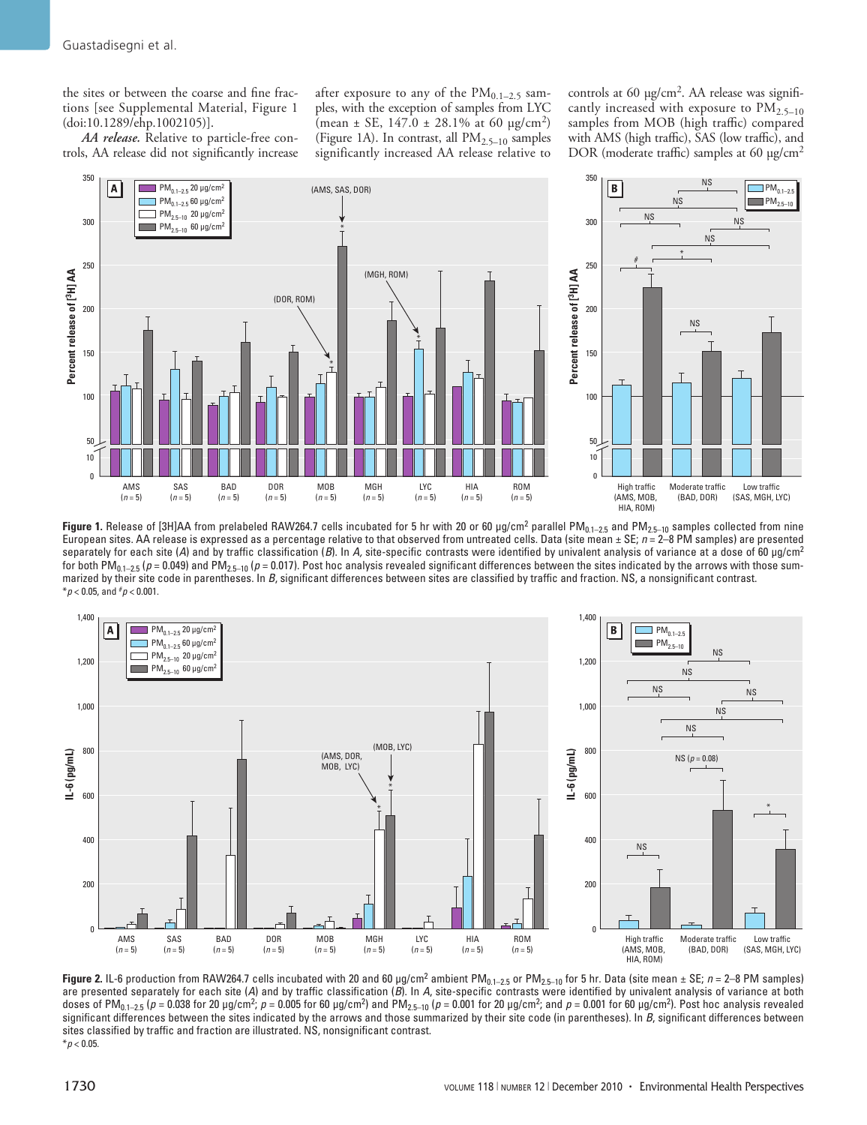the sites or between the coarse and fine fractions [see Supplemental Material, Figure 1 (doi:10.1289/ehp.1002105)].

*AA release.* Relative to particle-free controls, AA release did not significantly increase after exposure to any of the  $PM<sub>0.1–2.5</sub>$  samples, with the exception of samples from LYC (mean  $\pm$  SE, 147.0  $\pm$  28.1% at 60 µg/cm<sup>2</sup>) (Figure 1A). In contrast, all  $PM_{2.5-10}$  samples significantly increased AA release relative to controls at 60 µg/cm<sup>2</sup>. AA release was significantly increased with exposure to  $PM_{2.5-10}$ samples from MOB (high traffic) compared with AMS (high traffic), SAS (low traffic), and DOR (moderate traffic) samples at 60 µg/cm<sup>2</sup>



**Figure 1.** Release of [3H]AA from prelabeled RAW264.7 cells incubated for 5 hr with 20 or 60 µg/cm<sup>2</sup> parallel PM<sub>0.1–2.5</sub> and PM<sub>2.5–10</sub> samples collected from nine European sites. AA release is expressed as a percentage relative to that observed from untreated cells. Data (site mean ± SE; *n* = 2–8 PM samples) are presented separately for each site (*A*) and by traffic classification (*B*). In *A,* site-specific contrasts were identified by univalent analysis of variance at a dose of 60 μg/cm2 for both PM<sub>0.1–2.5</sub> ( $p = 0.049$ ) and PM<sub>2.5–10</sub> ( $p = 0.017$ ). Post hoc analysis revealed significant differences between the sites indicated by the arrows with those summarized by their site code in parentheses. In *B*, significant differences between sites are classified by traffic and fraction. NS, a nonsignificant contrast.  $*$ *p* < 0.05, and  $*$ *p* < 0.001.



**Figure 2.** IL-6 production from RAW264.7 cells incubated with 20 and 60 µg/cm<sup>2</sup> ambient PM<sub>0.1–2.5</sub> or PM<sub>2.5–10</sub> for 5 hr. Data (site mean ± SE; *n* = 2–8 PM samples) are presented separately for each site (*A*) and by traffic classification (*B*). In *A*, site-specific contrasts were identified by univalent analysis of variance at both doses of PM<sub>0.1–2.5</sub> (*p* = 0.038 for 20 µg/cm<sup>2</sup>; *p* = 0.005 for 60 µg/cm<sup>2</sup>) and PM<sub>2.5–10</sub> (*p* = 0.001 for 20 µg/cm<sup>2</sup>; and *p* = 0.001 for 60 µg/cm<sup>2</sup>). Post hoc analysis revealed significant differences between the sites indicated by the arrows and those summarized by their site code (in parentheses). In *B*, significant differences between sites classified by traffic and fraction are illustrated. NS, nonsignificant contrast. \**p* < 0.05.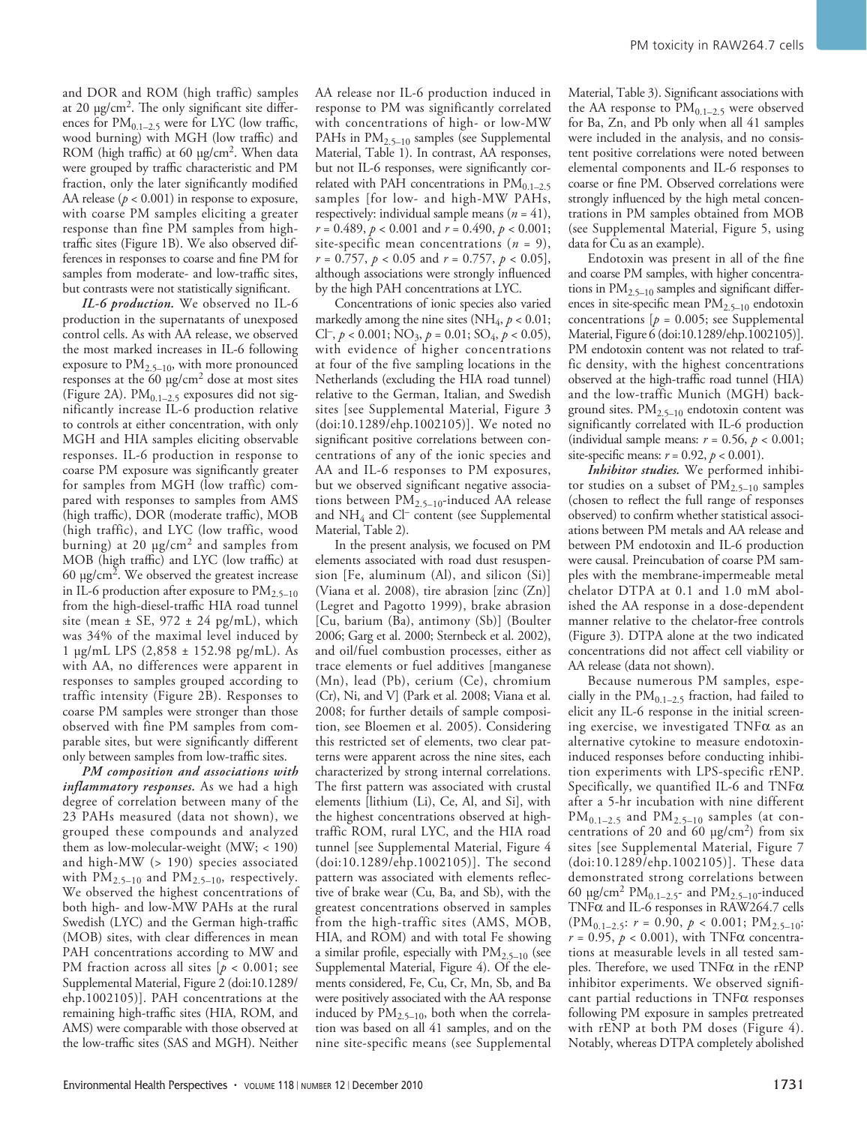and DOR and ROM (high traffic) samples at 20  $\mu$ g/cm<sup>2</sup>. The only significant site differences for  $PM_{0.1-2.5}$  were for LYC (low traffic, wood burning) with MGH (low traffic) and ROM (high traffic) at 60 µg/cm<sup>2</sup>. When data were grouped by traffic characteristic and PM fraction, only the later significantly modified AA release  $(p < 0.001)$  in response to exposure, with coarse PM samples eliciting a greater response than fine PM samples from hightraffic sites (Figure 1B). We also observed differences in responses to coarse and fine PM for samples from moderate- and low-traffic sites, but contrasts were not statistically significant.

*IL-6 production.* We observed no IL-6 production in the supernatants of unexposed control cells. As with AA release, we observed the most marked increases in IL-6 following exposure to  $PM_{2.5-10}$ , with more pronounced responses at the 60 µg/cm2 dose at most sites (Figure 2A).  $PM_{0.1-2.5}$  exposures did not significantly increase IL-6 production relative to controls at either concentration, with only MGH and HIA samples eliciting observable responses. IL-6 production in response to coarse PM exposure was significantly greater for samples from MGH (low traffic) compared with responses to samples from AMS (high traffic), DOR (moderate traffic), MOB (high traffic), and LYC (low traffic, wood burning) at 20  $\mu$ g/cm<sup>2</sup> and samples from MOB (high traffic) and LYC (low traffic) at 60  $\mu$ g/cm<sup>2</sup>. We observed the greatest increase in IL-6 production after exposure to  $PM_{2.5-10}$ from the high-diesel-traffic HIA road tunnel site (mean  $\pm$  SE, 972  $\pm$  24 pg/mL), which was 34% of the maximal level induced by 1 µg/mL LPS (2,858 ± 152.98 pg/mL). As with AA, no differences were apparent in responses to samples grouped according to traffic intensity (Figure 2B). Responses to coarse PM samples were stronger than those observed with fine PM samples from comparable sites, but were significantly different only between samples from low-traffic sites.

*PM composition and associations with inflammatory responses.* As we had a high degree of correlation between many of the 23 PAHs measured (data not shown), we grouped these compounds and analyzed them as low-molecular-weight (MW; < 190) and high-MW (> 190) species associated with  $PM_{2.5-10}$  and  $PM_{2.5-10}$ , respectively. We observed the highest concentrations of both high- and low-MW PAHs at the rural Swedish (LYC) and the German high-traffic (MOB) sites, with clear differences in mean PAH concentrations according to MW and PM fraction across all sites [*p* < 0.001; see Supplemental Material, Figure 2 (doi:10.1289/ ehp.1002105)]. PAH concentrations at the remaining high-traffic sites (HIA, ROM, and AMS) were comparable with those observed at the low-traffic sites (SAS and MGH). Neither

AA release nor IL-6 production induced in response to PM was significantly correlated with concentrations of high- or low-MW PAHs in PM<sub>2.5-10</sub> samples (see Supplemental Material, Table 1). In contrast, AA responses, but not IL-6 responses, were significantly correlated with PAH concentrations in  $PM_{0.1-2.5}$ samples [for low- and high-MW PAHs, respectively: individual sample means  $(n = 41)$ , *r* = 0.489, *p* < 0.001 and *r* = 0.490, *p* < 0.001; site-specific mean concentrations (*n* = 9), *r* = 0.757, *p* < 0.05 and *r* = 0.757, *p* < 0.05], although associations were strongly influenced by the high PAH concentrations at LYC.

Concentrations of ionic species also varied markedly among the nine sites (NH<sub>4</sub>,  $p < 0.01$ ; Cl<sup>-</sup>,  $p < 0.001$ ; NO<sub>3</sub>,  $p = 0.01$ ; SO<sub>4</sub>,  $p < 0.05$ ), with evidence of higher concentrations at four of the five sampling locations in the Netherlands (excluding the HIA road tunnel) relative to the German, Italian, and Swedish sites [see Supplemental Material, Figure 3 (doi:10.1289/ehp.1002105)]. We noted no significant positive correlations between concentrations of any of the ionic species and AA and IL-6 responses to PM exposures, but we observed significant negative associations between PM2.5–10-induced AA release and NH4 and Cl– content (see Supplemental Material, Table 2).

In the present analysis, we focused on PM elements associated with road dust resuspension [Fe, aluminum (Al), and silicon  $(Si)$ ] (Viana et al. 2008), tire abrasion [zinc (Zn)] (Legret and Pagotto 1999), brake abrasion [Cu, barium (Ba), antimony (Sb)] (Boulter 2006; Garg et al. 2000; Sternbeck et al. 2002), and oil/fuel combustion processes, either as trace elements or fuel additives [manganese (Mn), lead (Pb), cerium (Ce), chromium (Cr), Ni, and V] (Park et al. 2008; Viana et al. 2008; for further details of sample composition, see Bloemen et al. 2005). Considering this restricted set of elements, two clear patterns were apparent across the nine sites, each characterized by strong internal correlations. The first pattern was associated with crustal elements [lithium (Li), Ce, Al, and Si], with the highest concentrations observed at hightraffic ROM, rural LYC, and the HIA road tunnel [see Supplemental Material, Figure 4 (doi:10.1289/ehp.1002105)]. The second pattern was associated with elements reflective of brake wear (Cu, Ba, and Sb), with the greatest concentrations observed in samples from the high-traffic sites (AMS, MOB, HIA, and ROM) and with total Fe showing a similar profile, especially with  $PM_{2.5-10}$  (see Supplemental Material, Figure 4). Of the elements considered, Fe, Cu, Cr, Mn, Sb, and Ba were positively associated with the AA response induced by  $PM_{2.5-10}$ , both when the correlation was based on all 41 samples, and on the nine site-specific means (see Supplemental

Material, Table 3). Significant associations with the AA response to  $PM_{0.1-2.5}$  were observed for Ba, Zn, and Pb only when all 41 samples were included in the analysis, and no consistent positive correlations were noted between elemental components and IL-6 responses to coarse or fine PM. Observed correlations were strongly influenced by the high metal concentrations in PM samples obtained from MOB (see Supplemental Material, Figure 5, using data for Cu as an example).

Endotoxin was present in all of the fine and coarse PM samples, with higher concentrations in PM<sub>2.5-10</sub> samples and significant differences in site-specific mean PM2.5–10 endotoxin concentrations [*p* = 0.005; see Supplemental Material, Figure 6 (doi:10.1289/ehp.1002105)]. PM endotoxin content was not related to traffic density, with the highest concentrations observed at the high-traffic road tunnel (HIA) and the low-traffic Munich (MGH) background sites.  $PM_{2.5-10}$  endotoxin content was significantly correlated with IL-6 production (individual sample means:  $r = 0.56$ ,  $p < 0.001$ ; site-specific means:  $r = 0.92$ ,  $p < 0.001$ ).

*Inhibitor studies.* We performed inhibitor studies on a subset of  $PM_{2.5-10}$  samples (chosen to reflect the full range of responses observed) to confirm whether statistical associations between PM metals and AA release and between PM endotoxin and IL-6 production were causal. Preincubation of coarse PM samples with the membrane-impermeable metal chelator DTPA at 0.1 and 1.0 mM abolished the AA response in a dose-dependent manner relative to the chelator-free controls (Figure 3). DTPA alone at the two indicated concentrations did not affect cell viability or AA release (data not shown).

Because numerous PM samples, especially in the  $PM_{0.1-2.5}$  fraction, had failed to elicit any IL-6 response in the initial screening exercise, we investigated  $TNF\alpha$  as an alternative cytokine to measure endotoxininduced responses before conducting inhibition experiments with LPS-specific rENP. Specifically, we quantified IL-6 and  $TNF\alpha$ after a 5-hr incubation with nine different  $PM_{0.1-2.5}$  and  $PM_{2.5-10}$  samples (at concentrations of 20 and 60  $\mu$ g/cm<sup>2</sup>) from six sites [see Supplemental Material, Figure 7 (doi:10.1289/ehp.1002105)]. These data demonstrated strong correlations between 60  $\mu$ g/cm<sup>2</sup> PM<sub>0.1-2.5</sub>- and PM<sub>2.5-10</sub>-induced TNFα and IL-6 responses in RAW264.7 cells  $(PM_{0.1-2.5}: r = 0.90, p < 0.001; PM_{2.5-10}:$  $r = 0.95$ ,  $p < 0.001$ ), with TNF $\alpha$  concentrations at measurable levels in all tested samples. Therefore, we used  $TNF\alpha$  in the rENP inhibitor experiments. We observed significant partial reductions in  $TNF\alpha$  responses following PM exposure in samples pretreated with rENP at both PM doses (Figure 4). Notably, whereas DTPA completely abolished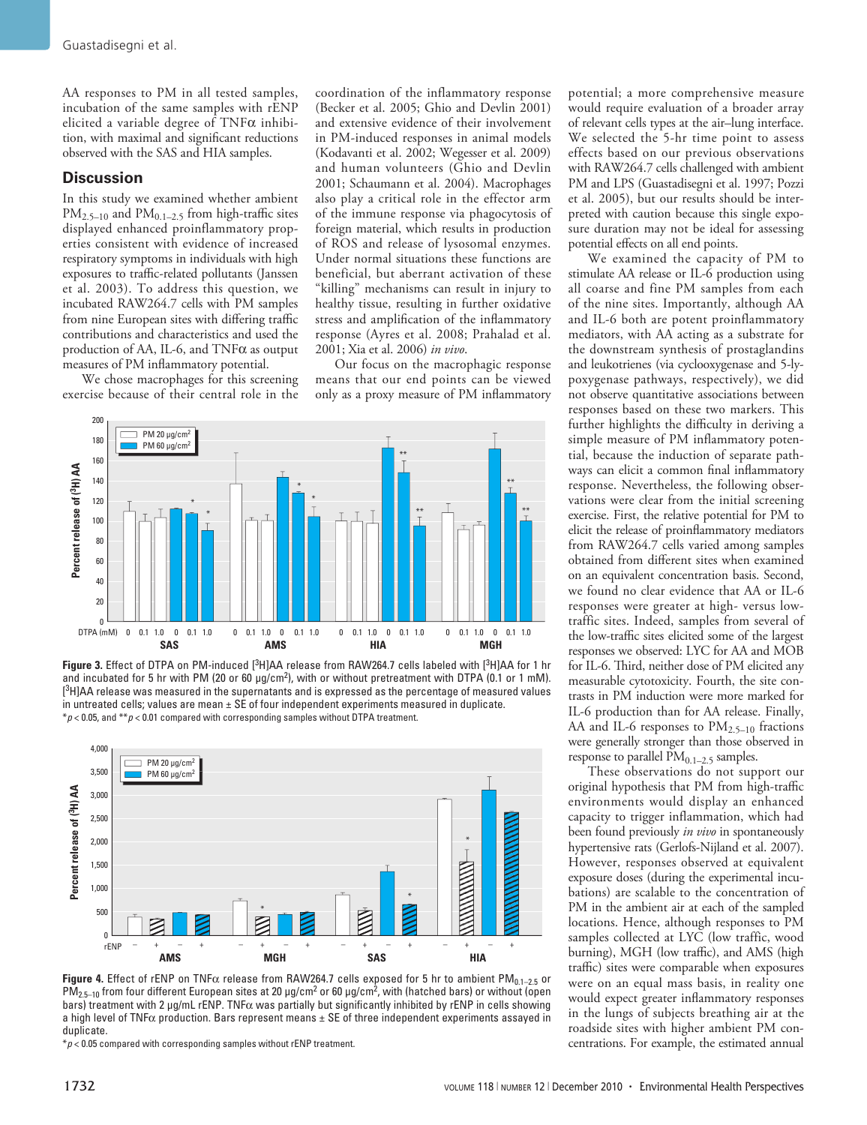AA responses to PM in all tested samples, incubation of the same samples with rENP elicited a variable degree of  $TNF\alpha$  inhibition, with maximal and significant reductions observed with the SAS and HIA samples.

#### **Discussion**

In this study we examined whether ambient  $PM_{2.5-10}$  and  $PM_{0.1-2.5}$  from high-traffic sites displayed enhanced proinflammatory properties consistent with evidence of increased respiratory symptoms in individuals with high exposures to traffic-related pollutants (Janssen et al. 2003). To address this question, we incubated RAW264.7 cells with PM samples from nine European sites with differing traffic contributions and characteristics and used the production of AA, IL-6, and  $TNF\alpha$  as output measures of PM inflammatory potential.

We chose macrophages for this screening exercise because of their central role in the

coordination of the inflammatory response (Becker et al. 2005; Ghio and Devlin 2001) and extensive evidence of their involvement in PM-induced responses in animal models (Kodavanti et al. 2002; Wegesser et al. 2009) and human volunteers (Ghio and Devlin 2001; Schaumann et al. 2004). Macrophages also play a critical role in the effector arm of the immune response via phagocytosis of foreign material, which results in production of ROS and release of lysosomal enzymes. Under normal situations these functions are beneficial, but aberrant activation of these "killing" mechanisms can result in injury to healthy tissue, resulting in further oxidative stress and amplification of the inflammatory response (Ayres et al. 2008; Prahalad et al. 2001; Xia et al. 2006) *in vivo*.

Our focus on the macrophagic response means that our end points can be viewed only as a proxy measure of PM inflammatory



Figure 3. Effect of DTPA on PM-induced [<sup>3</sup>H]AA release from RAW264.7 cells labeled with [<sup>3</sup>H]AA for 1 hr and incubated for 5 hr with PM (20 or 60  $\mu$ g/cm<sup>2</sup>), with or without pretreatment with DTPA (0.1 or 1 mM).  $[^3$ H]AA release was measured in the supernatants and is expressed as the percentage of measured values in untreated cells; values are mean  $\pm$  SE of four independent experiments measured in duplicate. \**p* < 0.05, and \*\**p* < 0.01 compared with corresponding samples without DTPA treatment.



**Figure 4.** Effect of rENP on TNF $\alpha$  release from RAW264.7 cells exposed for 5 hr to ambient PM<sub>0.1–2.5</sub> or PM $_{2.5-10}$  from four different European sites at 20  $\mu$ g/cm<sup>2</sup> or 60  $\mu$ g/cm<sup>2</sup>, with (hatched bars) or without (open bars) treatment with 2  $\mu$ g/mL rENP. TNF $\alpha$  was partially but significantly inhibited by rENP in cells showing a high level of TNF $\alpha$  production. Bars represent means  $\pm$  SE of three independent experiments assayed in duplicate.

 $*p$  < 0.05 compared with corresponding samples without rENP treatment.

potential; a more comprehensive measure would require evaluation of a broader array of relevant cells types at the air–lung interface. We selected the 5-hr time point to assess effects based on our previous observations with RAW264.7 cells challenged with ambient PM and LPS (Guastadisegni et al. 1997; Pozzi et al. 2005), but our results should be interpreted with caution because this single exposure duration may not be ideal for assessing potential effects on all end points.

We examined the capacity of PM to stimulate AA release or IL-6 production using all coarse and fine PM samples from each of the nine sites. Importantly, although AA and IL-6 both are potent proinflammatory mediators, with AA acting as a substrate for the downstream synthesis of prostaglandins and leukotrienes (via cyclooxygenase and 5-lypoxygenase pathways, respectively), we did not observe quantitative associations between responses based on these two markers. This further highlights the difficulty in deriving a simple measure of PM inflammatory potential, because the induction of separate pathways can elicit a common final inflammatory response. Nevertheless, the following observations were clear from the initial screening exercise. First, the relative potential for PM to elicit the release of proinflammatory mediators from RAW264.7 cells varied among samples obtained from different sites when examined on an equivalent concentration basis. Second, we found no clear evidence that AA or IL-6 responses were greater at high- versus lowtraffic sites. Indeed, samples from several of the low-traffic sites elicited some of the largest responses we observed: LYC for AA and MOB for IL-6. Third, neither dose of PM elicited any measurable cytotoxicity. Fourth, the site contrasts in PM induction were more marked for IL-6 production than for AA release. Finally, AA and IL-6 responses to  $PM_{2.5-10}$  fractions were generally stronger than those observed in response to parallel  $PM_{0.1-2.5}$  samples.

These observations do not support our original hypothesis that PM from high-traffic environments would display an enhanced capacity to trigger inflammation, which had been found previously *in vivo* in spontaneously hypertensive rats (Gerlofs-Nijland et al. 2007). However, responses observed at equivalent exposure doses (during the experimental incubations) are scalable to the concentration of PM in the ambient air at each of the sampled locations. Hence, although responses to PM samples collected at LYC (low traffic, wood burning), MGH (low traffic), and AMS (high traffic) sites were comparable when exposures were on an equal mass basis, in reality one would expect greater inflammatory responses in the lungs of subjects breathing air at the roadside sites with higher ambient PM concentrations. For example, the estimated annual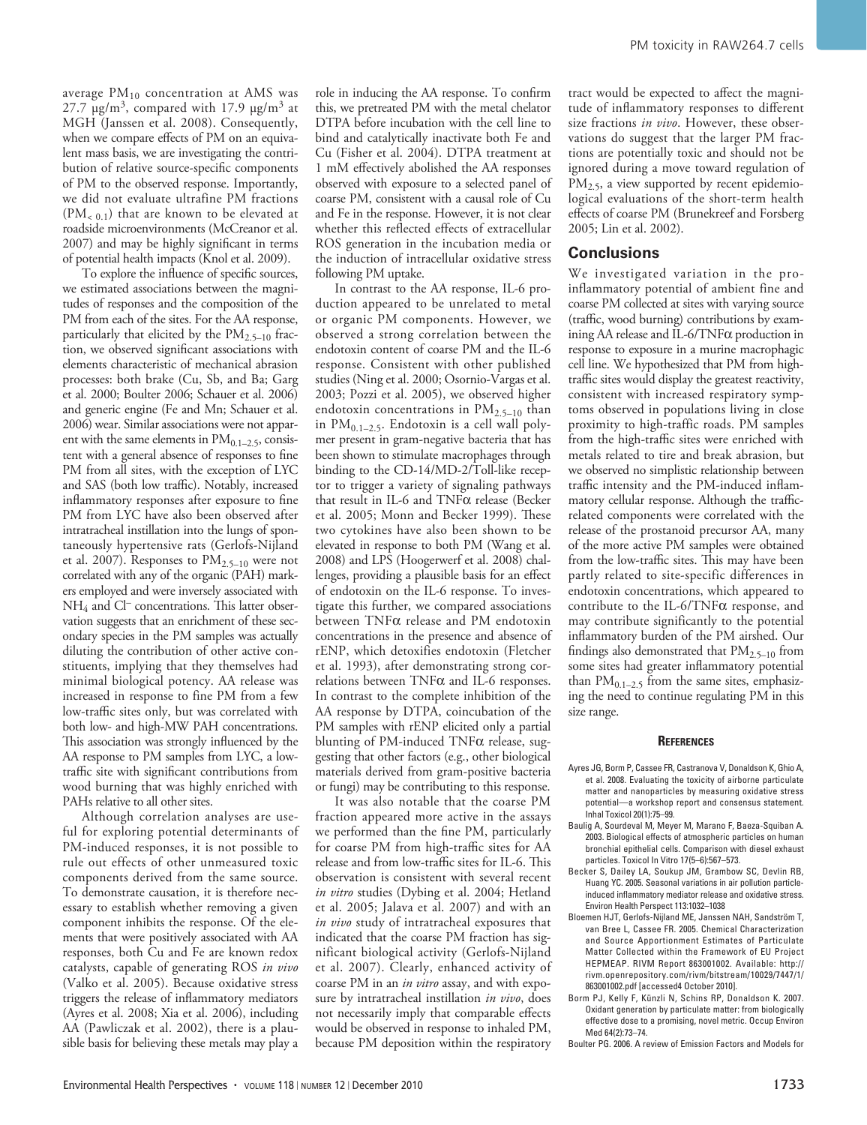average  $PM_{10}$  concentration at AMS was 27.7  $\mu$ g/m<sup>3</sup>, compared with 17.9  $\mu$ g/m<sup>3</sup> at MGH (Janssen et al. 2008). Consequently, when we compare effects of PM on an equivalent mass basis, we are investigating the contribution of relative source-specific components of PM to the observed response. Importantly, we did not evaluate ultrafine PM fractions  $(PM_{\leq 0.1})$  that are known to be elevated at roadside microenvironments (McCreanor et al. 2007) and may be highly significant in terms of potential health impacts (Knol et al. 2009).

To explore the influence of specific sources, we estimated associations between the magnitudes of responses and the composition of the PM from each of the sites. For the AA response, particularly that elicited by the  $PM_{2.5-10}$  fraction, we observed significant associations with elements characteristic of mechanical abrasion processes: both brake (Cu, Sb, and Ba; Garg et al. 2000; Boulter 2006; Schauer et al. 2006) and generic engine (Fe and Mn; Schauer et al. 2006) wear. Similar associations were not apparent with the same elements in  $PM<sub>0.1–2.5</sub>$ , consistent with a general absence of responses to fine PM from all sites, with the exception of LYC and SAS (both low traffic). Notably, increased inflammatory responses after exposure to fine PM from LYC have also been observed after intratracheal instillation into the lungs of spontaneously hypertensive rats (Gerlofs-Nijland et al. 2007). Responses to  $PM_{2.5-10}$  were not correlated with any of the organic (PAH) markers employed and were inversely associated with NH<sub>4</sub> and Cl<sup>–</sup> concentrations. This latter observation suggests that an enrichment of these secondary species in the PM samples was actually diluting the contribution of other active constituents, implying that they themselves had minimal biological potency. AA release was increased in response to fine PM from a few low-traffic sites only, but was correlated with both low- and high-MW PAH concentrations. This association was strongly influenced by the AA response to PM samples from LYC, a lowtraffic site with significant contributions from wood burning that was highly enriched with PAHs relative to all other sites.

Although correlation analyses are useful for exploring potential determinants of PM-induced responses, it is not possible to rule out effects of other unmeasured toxic components derived from the same source. To demonstrate causation, it is therefore necessary to establish whether removing a given component inhibits the response. Of the elements that were positively associated with AA responses, both Cu and Fe are known redox catalysts, capable of generating ROS *in vivo* (Valko et al. 2005). Because oxidative stress triggers the release of inflammatory mediators (Ayres et al. 2008; Xia et al. 2006), including AA (Pawliczak et al. 2002), there is a plausible basis for believing these metals may play a

role in inducing the AA response. To confirm this, we pretreated PM with the metal chelator DTPA before incubation with the cell line to bind and catalytically inactivate both Fe and Cu (Fisher et al. 2004). DTPA treatment at 1 mM effectively abolished the AA responses observed with exposure to a selected panel of coarse PM, consistent with a causal role of Cu and Fe in the response. However, it is not clear whether this reflected effects of extracellular ROS generation in the incubation media or the induction of intracellular oxidative stress following PM uptake.

In contrast to the AA response, IL-6 production appeared to be unrelated to metal or organic PM components. However, we observed a strong correlation between the endotoxin content of coarse PM and the IL-6 response. Consistent with other published studies (Ning et al. 2000; Osornio-Vargas et al. 2003; Pozzi et al. 2005), we observed higher endotoxin concentrations in  $PM_{2.5-10}$  than in  $PM_{0.1-2.5}$ . Endotoxin is a cell wall polymer present in gram-negative bacteria that has been shown to stimulate macrophages through binding to the CD-14/MD-2/Toll-like receptor to trigger a variety of signaling pathways that result in IL-6 and TNFα release (Becker et al. 2005; Monn and Becker 1999). These two cytokines have also been shown to be elevated in response to both PM (Wang et al. 2008) and LPS (Hoogerwerf et al. 2008) challenges, providing a plausible basis for an effect of endotoxin on the IL-6 response. To investigate this further, we compared associations between TNFα release and PM endotoxin concentrations in the presence and absence of rENP, which detoxifies endotoxin (Fletcher et al. 1993), after demonstrating strong correlations between TNFα and IL-6 responses. In contrast to the complete inhibition of the AA response by DTPA, coincubation of the PM samples with rENP elicited only a partial blunting of PM-induced  $TNF\alpha$  release, suggesting that other factors (e.g., other biological materials derived from gram-positive bacteria or fungi) may be contributing to this response.

It was also notable that the coarse PM fraction appeared more active in the assays we performed than the fine PM, particularly for coarse PM from high-traffic sites for AA release and from low-traffic sites for IL-6. This observation is consistent with several recent *in vitro* studies (Dybing et al. 2004; Hetland et al. 2005; Jalava et al. 2007) and with an *in vivo* study of intratracheal exposures that indicated that the coarse PM fraction has significant biological activity (Gerlofs-Nijland et al. 2007). Clearly, enhanced activity of coarse PM in an *in vitro* assay, and with exposure by intratracheal instillation *in vivo*, does not necessarily imply that comparable effects would be observed in response to inhaled PM, because PM deposition within the respiratory

tract would be expected to affect the magnitude of inflammatory responses to different size fractions *in vivo*. However, these observations do suggest that the larger PM fractions are potentially toxic and should not be ignored during a move toward regulation of PM<sub>2.5</sub>, a view supported by recent epidemiological evaluations of the short-term health effects of coarse PM (Brunekreef and Forsberg 2005; Lin et al. 2002).

#### **Conclusions**

We investigated variation in the proinflammatory potential of ambient fine and coarse PM collected at sites with varying source (traffic, wood burning) contributions by examining AA release and IL-6/TNFα production in response to exposure in a murine macrophagic cell line. We hypothesized that PM from hightraffic sites would display the greatest reactivity, consistent with increased respiratory symptoms observed in populations living in close proximity to high-traffic roads. PM samples from the high-traffic sites were enriched with metals related to tire and break abrasion, but we observed no simplistic relationship between traffic intensity and the PM-induced inflammatory cellular response. Although the trafficrelated components were correlated with the release of the prostanoid precursor AA, many of the more active PM samples were obtained from the low-traffic sites. This may have been partly related to site-specific differences in endotoxin concentrations, which appeared to contribute to the IL-6/TNFα response, and may contribute significantly to the potential inflammatory burden of the PM airshed. Our findings also demonstrated that  $PM_{2.5-10}$  from some sites had greater inflammatory potential than  $PM_{0.1-2.5}$  from the same sites, emphasizing the need to continue regulating PM in this size range.

#### **References**

- Ayres JG, Borm P, Cassee FR, Castranova V, Donaldson K, Ghio A, et al. 2008. Evaluating the toxicity of airborne particulate matter and nanoparticles by measuring oxidative stress potential—a workshop report and consensus statement. Inhal Toxicol 20(1):75–99.
- Baulig A, Sourdeval M, Meyer M, Marano F, Baeza-Squiban A. 2003. Biological effects of atmospheric particles on human bronchial epithelial cells. Comparison with diesel exhaust particles. Toxicol In Vitro 17(5–6):567–573.
- Becker S, Dailey LA, Soukup JM, Grambow SC, Devlin RB, Huang YC. 2005. Seasonal variations in air pollution particleinduced inflammatory mediator release and oxidative stress. Environ Health Perspect 113:1032–1038
- Bloemen HJT, Gerlofs-Nijland ME, Janssen NAH, Sandström T, van Bree L, Cassee FR. 2005. Chemical Characterization and Source Apportionment Estimates of Particulate Matter Collected within the Framework of EU Project HEPMEAP. RIVM Report 863001002. Available: http:// rivm.openrepository.com/rivm/bitstream/10029/7447/1/ 863001002.pdf [accessed4 October 2010].
- Borm PJ, Kelly F, Künzli N, Schins RP, Donaldson K. 2007. Oxidant generation by particulate matter: from biologically effective dose to a promising, novel metric. Occup Environ Med 64(2):73–74.
- Boulter PG. 2006. A review of Emission Factors and Models for